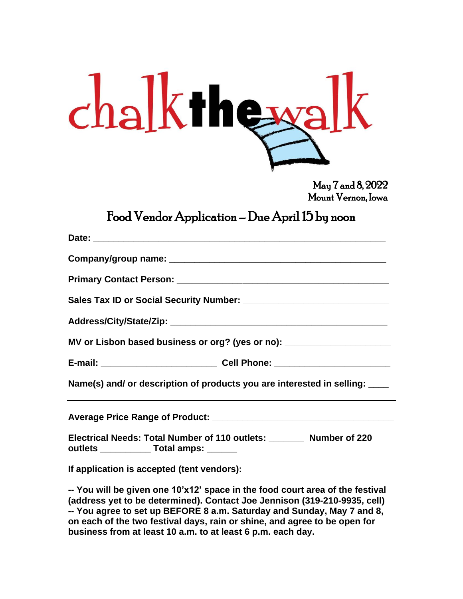| $chalk$ the walk |  |
|------------------|--|
|------------------|--|

May 7 and 8, 2022 Mount Vernon, Iowa

## Food Vendor Application – Due April 15 by noon

| MV or Lisbon based business or org? (yes or no): _______________________________                                    |
|---------------------------------------------------------------------------------------------------------------------|
|                                                                                                                     |
| Name(s) and/ or description of products you are interested in selling: ____                                         |
|                                                                                                                     |
| Electrical Needs: Total Number of 110 outlets: ________ Number of 220<br>outlets ______________ Total amps: _______ |
| If application is accepted (tent vendors):                                                                          |

**-- You will be given one 10'x12' space in the food court area of the festival (address yet to be determined). Contact Joe Jennison (319-210-9935, cell) -- You agree to set up BEFORE 8 a.m. Saturday and Sunday, May 7 and 8, on each of the two festival days, rain or shine, and agree to be open for business from at least 10 a.m. to at least 6 p.m. each day.**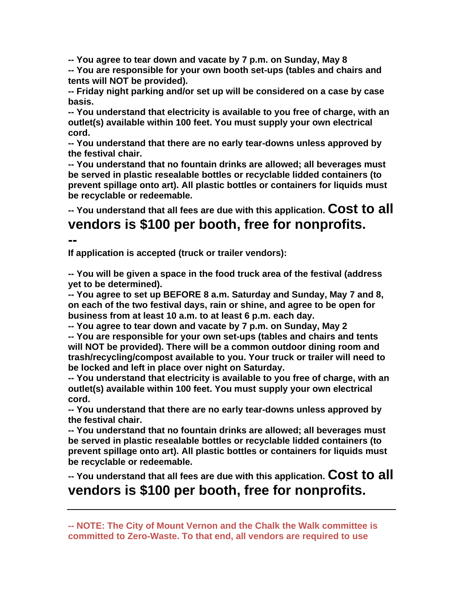**-- You agree to tear down and vacate by 7 p.m. on Sunday, May 8**

**-- You are responsible for your own booth set-ups (tables and chairs and tents will NOT be provided).**

**-- Friday night parking and/or set up will be considered on a case by case basis.**

**-- You understand that electricity is available to you free of charge, with an outlet(s) available within 100 feet. You must supply your own electrical cord.**

**-- You understand that there are no early tear-downs unless approved by the festival chair.**

**-- You understand that no fountain drinks are allowed; all beverages must be served in plastic resealable bottles or recyclable lidded containers (to prevent spillage onto art). All plastic bottles or containers for liquids must be recyclable or redeemable.**

**-- You understand that all fees are due with this application. Cost to all vendors is \$100 per booth, free for nonprofits.**

**--**

**If application is accepted (truck or trailer vendors):**

**-- You will be given a space in the food truck area of the festival (address yet to be determined).**

**-- You agree to set up BEFORE 8 a.m. Saturday and Sunday, May 7 and 8, on each of the two festival days, rain or shine, and agree to be open for business from at least 10 a.m. to at least 6 p.m. each day.**

**-- You agree to tear down and vacate by 7 p.m. on Sunday, May 2 -- You are responsible for your own set-ups (tables and chairs and tents will NOT be provided). There will be a common outdoor dining room and trash/recycling/compost available to you. Your truck or trailer will need to be locked and left in place over night on Saturday.**

**-- You understand that electricity is available to you free of charge, with an outlet(s) available within 100 feet. You must supply your own electrical cord.**

**-- You understand that there are no early tear-downs unless approved by the festival chair.**

**-- You understand that no fountain drinks are allowed; all beverages must be served in plastic resealable bottles or recyclable lidded containers (to prevent spillage onto art). All plastic bottles or containers for liquids must be recyclable or redeemable.**

**-- You understand that all fees are due with this application. Cost to all vendors is \$100 per booth, free for nonprofits.**

**-- NOTE: The City of Mount Vernon and the Chalk the Walk committee is committed to Zero-Waste. To that end, all vendors are required to use**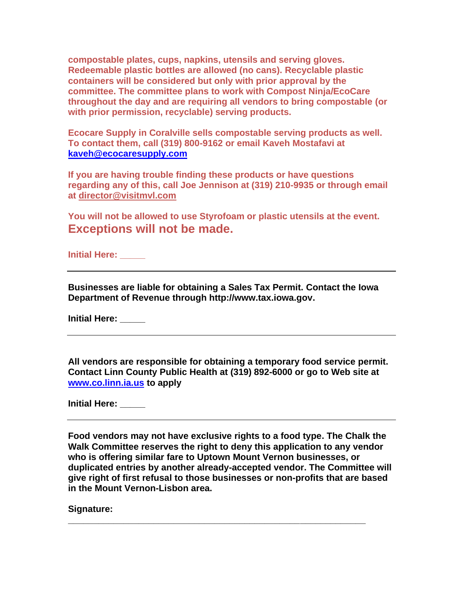**compostable plates, cups, napkins, utensils and serving gloves. Redeemable plastic bottles are allowed (no cans). Recyclable plastic containers will be considered but only with prior approval by the committee. The committee plans to work with Compost Ninja/EcoCare throughout the day and are requiring all vendors to bring compostable (or with prior permission, recyclable) serving products.** 

**Ecocare Supply in Coralville sells compostable serving products as well. To contact them, call (319) 800-9162 or email Kaveh Mostafavi at [kaveh@ecocaresupply.com](mailto:kaveh@ecocaresupply.com)**

**If you are having trouble finding these products or have questions regarding any of this, call Joe Jennison at (319) 210-9935 or through email at [director@visitmvl.com](mailto:director@visitmvl.com)**

**You will not be allowed to use Styrofoam or plastic utensils at the event. Exceptions will not be made.**

**Initial Here: \_\_\_\_\_**

**Businesses are liable for obtaining a Sales Tax Permit. Contact the Iowa Department of Revenue through http://www.tax.iowa.gov.**

**Initial Here: \_\_\_\_\_**

**All vendors are responsible for obtaining a temporary food service permit. Contact Linn County Public Health at (319) 892-6000 or go to Web site at [www.co.linn.ia.us](http://www.co.linn.ia.us/) to apply**

**Initial Here: \_\_\_\_\_**

**Food vendors may not have exclusive rights to a food type. The Chalk the Walk Committee reserves the right to deny this application to any vendor who is offering similar fare to Uptown Mount Vernon businesses, or duplicated entries by another already-accepted vendor. The Committee will give right of first refusal to those businesses or non-profits that are based in the Mount Vernon-Lisbon area.**

**\_\_\_\_\_\_\_\_\_\_\_\_\_\_\_\_\_\_\_\_\_\_\_\_\_\_\_\_\_\_\_\_\_\_\_\_\_\_\_\_\_\_\_\_\_\_\_\_\_\_\_\_\_\_\_\_\_\_\_**

**Signature:**